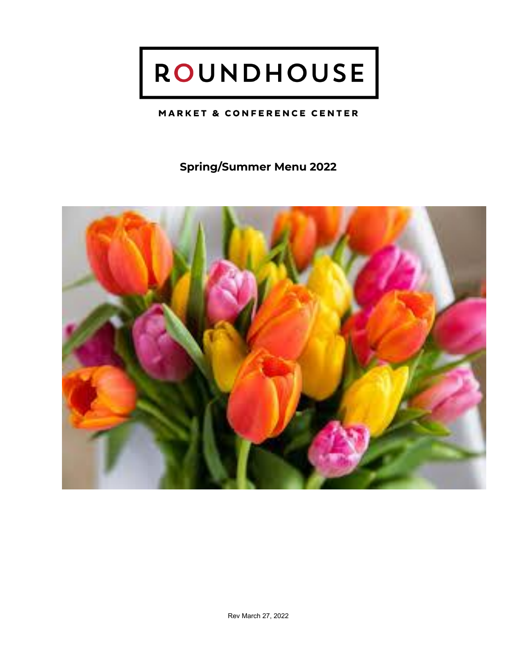# ROUNDHOUSE

#### **MARKET & CONFERENCE CENTER**

# **Spring/Summer Menu 2022**

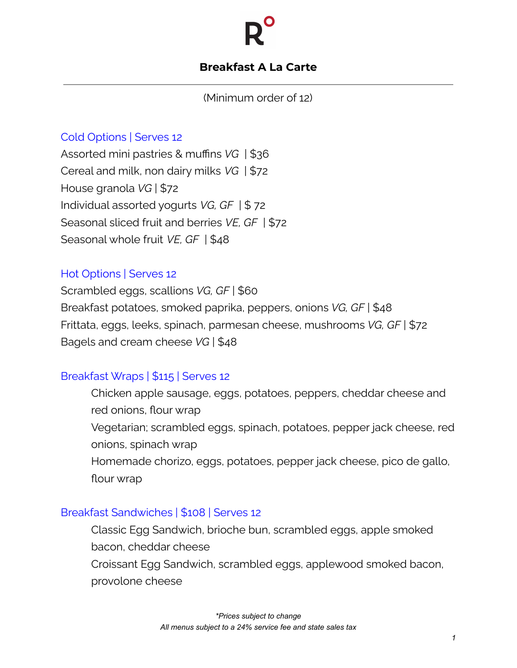# **Breakfast A La Carte**

#### (Minimum order of 12)

#### Cold Options | Serves 12

Assorted mini pastries & muffins *VG* | \$36 Cereal and milk, non dairy milks *VG* | \$72 House granola *VG* | \$72 Individual assorted yogurts *VG, GF* | \$ 72 Seasonal sliced fruit and berries *VE, GF* | \$72 Seasonal whole fruit *VE, GF* | \$48

#### Hot Options | Serves 12

Scrambled eggs, scallions *VG, GF* | \$60 Breakfast potatoes, smoked paprika, peppers, onions *VG, GF* | \$48 Frittata, eggs, leeks, spinach, parmesan cheese, mushrooms *VG, GF* | \$72 Bagels and cream cheese *VG* | \$48

#### Breakfast Wraps | \$115 | Serves 12

Chicken apple sausage, eggs, potatoes, peppers, cheddar cheese and red onions, flour wrap Vegetarian; scrambled eggs, spinach, potatoes, pepper jack cheese, red onions, spinach wrap Homemade chorizo, eggs, potatoes, pepper jack cheese, pico de gallo, flour wrap

#### Breakfast Sandwiches | \$108 | Serves 12

Classic Egg Sandwich, brioche bun, scrambled eggs, apple smoked bacon, cheddar cheese Croissant Egg Sandwich, scrambled eggs, applewood smoked bacon, provolone cheese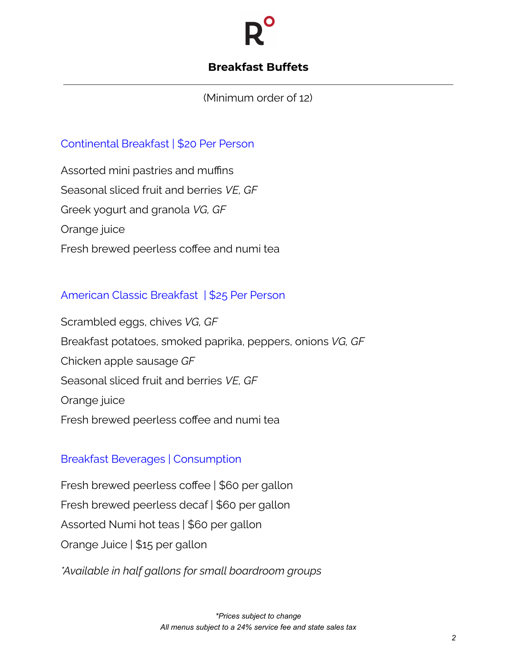## **Breakfast Buffets**

(Minimum order of 12)

## Continental Breakfast | \$20 Per Person

Assorted mini pastries and muffins Seasonal sliced fruit and berries *VE, GF* Greek yogurt and granola *VG, GF* Orange juice Fresh brewed peerless coffee and numi tea

# American Classic Breakfast | \$25 Per Person

Scrambled eggs, chives *VG, GF* Breakfast potatoes, smoked paprika, peppers, onions *VG, GF* Chicken apple sausage *GF* Seasonal sliced fruit and berries *VE, GF* Orange juice Fresh brewed peerless coffee and numi tea

### Breakfast Beverages | Consumption

Fresh brewed peerless coffee | \$60 per gallon Fresh brewed peerless decaf | \$60 per gallon Assorted Numi hot teas | \$60 per gallon Orange Juice | \$15 per gallon *\*Available in half gallons for small boardroom groups*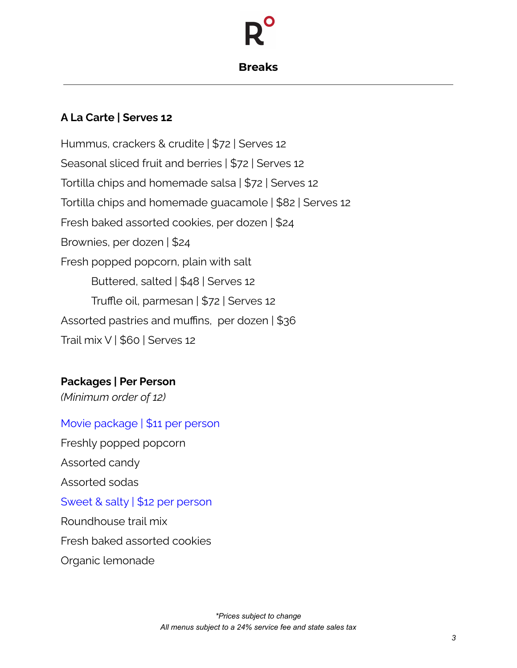#### **Breaks**

#### **A La Carte | Serves 12**

Hummus, crackers & crudite | \$72 | Serves 12 Seasonal sliced fruit and berries | \$72 | Serves 12 Tortilla chips and homemade salsa | \$72 | Serves 12 Tortilla chips and homemade guacamole | \$82 | Serves 12 Fresh baked assorted cookies, per dozen | \$24 Brownies, per dozen | \$24 Fresh popped popcorn, plain with salt Buttered, salted | \$48 | Serves 12 Truffle oil, parmesan | \$72 | Serves 12 Assorted pastries and muffins, per dozen | \$36 Trail mix V | \$60 | Serves 12

#### **Packages | Per Person**

*(Minimum order of 12)*

Movie package | \$11 per person Freshly popped popcorn Assorted candy Assorted sodas Sweet & salty | \$12 per person Roundhouse trail mix Fresh baked assorted cookies Organic lemonade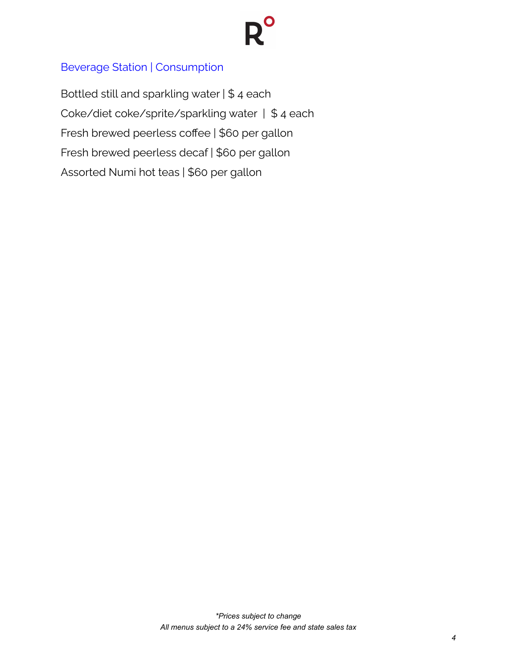# Beverage Station | Consumption

Bottled still and sparkling water | \$ 4 each Coke/diet coke/sprite/sparkling water | \$ 4 each Fresh brewed peerless coffee | \$60 per gallon Fresh brewed peerless decaf | \$60 per gallon Assorted Numi hot teas | \$60 per gallon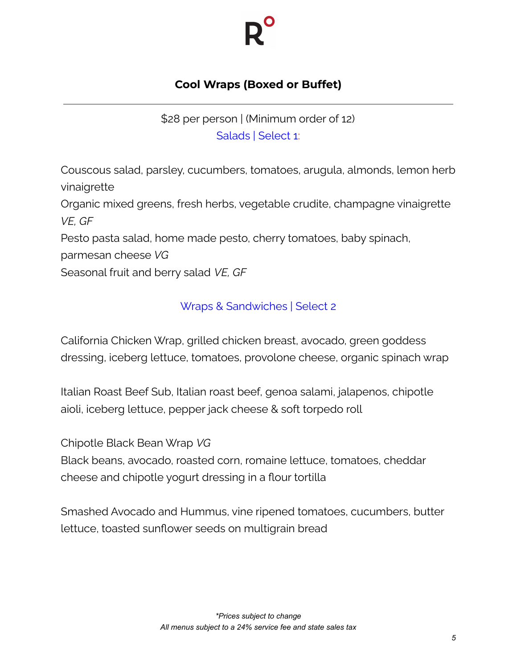# **Cool Wraps (Boxed or Buffet)**

\$28 per person | (Minimum order of 12) Salads | Select 1:

Couscous salad, parsley, cucumbers, tomatoes, arugula, almonds, lemon herb vinaigrette

Organic mixed greens, fresh herbs, vegetable crudite, champagne vinaigrette *VE, GF*

Pesto pasta salad, home made pesto, cherry tomatoes, baby spinach,

parmesan cheese *VG*

Seasonal fruit and berry salad *VE, GF*

# Wraps & Sandwiches | Select 2

California Chicken Wrap, grilled chicken breast, avocado, green goddess dressing, iceberg lettuce, tomatoes, provolone cheese, organic spinach wrap

Italian Roast Beef Sub, Italian roast beef, genoa salami, jalapenos, chipotle aioli, iceberg lettuce, pepper jack cheese & soft torpedo roll

Chipotle Black Bean Wrap *VG*

Black beans, avocado, roasted corn, romaine lettuce, tomatoes, cheddar cheese and chipotle yogurt dressing in a flour tortilla

Smashed Avocado and Hummus, vine ripened tomatoes, cucumbers, butter lettuce, toasted sunflower seeds on multigrain bread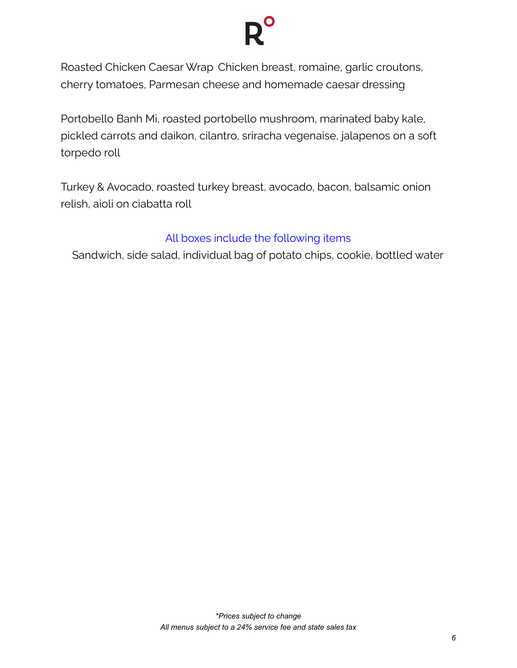Roasted Chicken Caesar Wrap Chicken breast, romaine, garlic croutons, cherry tomatoes, Parmesan cheese and homemade caesar dressing

Portobello Banh Mi, roasted portobello mushroom, marinated baby kale, pickled carrots and daikon, cilantro, sriracha vegenaise, jalapenos on a soft torpedo roll

Turkey & Avocado, roasted turkey breast, avocado, bacon, balsamic onion relish, aioli on ciabatta roll

# All boxes include the following items

Sandwich, side salad, individual bag of potato chips, cookie, bottled water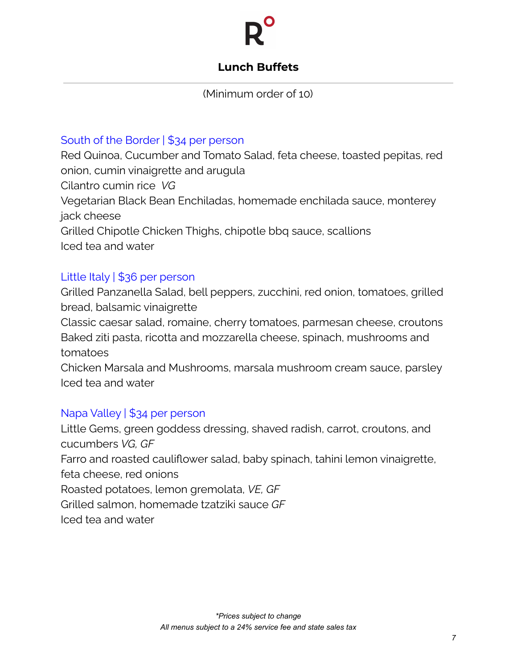### **Lunch Buffets**

(Minimum order of 10)

### South of the Border | \$34 per person

Red Quinoa, Cucumber and Tomato Salad, feta cheese, toasted pepitas, red onion, cumin vinaigrette and arugula Cilantro cumin rice *VG* Vegetarian Black Bean Enchiladas, homemade enchilada sauce, monterey jack cheese Grilled Chipotle Chicken Thighs, chipotle bbq sauce, scallions Iced tea and water

### Little Italy | \$36 per person

Grilled Panzanella Salad, bell peppers, zucchini, red onion, tomatoes, grilled bread, balsamic vinaigrette Classic caesar salad, romaine, cherry tomatoes, parmesan cheese, croutons Baked ziti pasta, ricotta and mozzarella cheese, spinach, mushrooms and tomatoes Chicken Marsala and Mushrooms, marsala mushroom cream sauce, parsley

Iced tea and water

### Napa Valley | \$34 per person

Little Gems, green goddess dressing, shaved radish, carrot, croutons, and cucumbers *VG, GF* Farro and roasted cauliflower salad, baby spinach, tahini lemon vinaigrette, feta cheese, red onions Roasted potatoes, lemon gremolata, *VE, GF* Grilled salmon, homemade tzatziki sauce *GF* Iced tea and water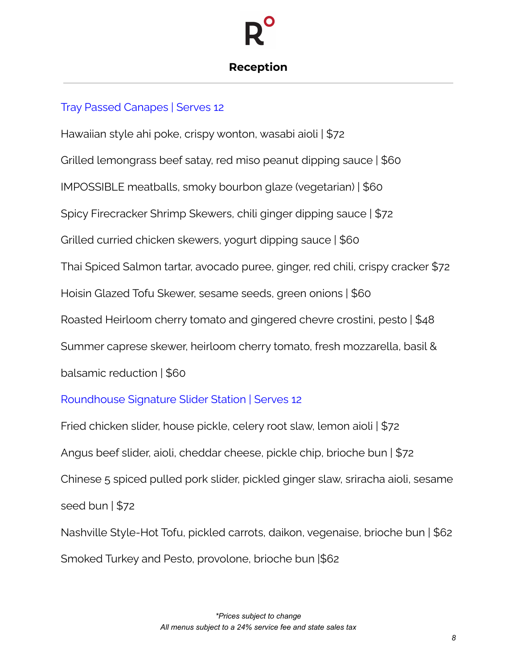#### **Reception**

#### Tray Passed Canapes | Serves 12

Hawaiian style ahi poke, crispy wonton, wasabi aioli | \$72 Grilled lemongrass beef satay, red miso peanut dipping sauce | \$60 IMPOSSIBLE meatballs, smoky bourbon glaze (vegetarian) | \$60 Spicy Firecracker Shrimp Skewers, chili ginger dipping sauce | \$72 Grilled curried chicken skewers, yogurt dipping sauce | \$60 Thai Spiced Salmon tartar, avocado puree, ginger, red chili, crispy cracker \$72 Hoisin Glazed Tofu Skewer, sesame seeds, green onions | \$60 Roasted Heirloom cherry tomato and gingered chevre crostini, pesto | \$48 Summer caprese skewer, heirloom cherry tomato, fresh mozzarella, basil & balsamic reduction | \$60

#### Roundhouse Signature Slider Station | Serves 12

Fried chicken slider, house pickle, celery root slaw, lemon aioli | \$72 Angus beef slider, aioli, cheddar cheese, pickle chip, brioche bun | \$72 Chinese 5 spiced pulled pork slider, pickled ginger slaw, sriracha aioli, sesame seed bun  $| $72$ 

Nashville Style-Hot Tofu, pickled carrots, daikon, vegenaise, brioche bun | \$62 Smoked Turkey and Pesto, provolone, brioche bun |\$62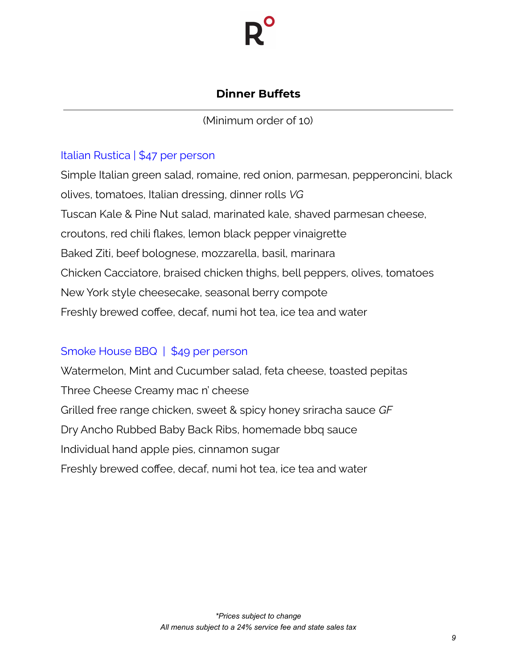# **Dinner Buffets**

(Minimum order of 10)

#### Italian Rustica | \$47 per person

Simple Italian green salad, romaine, red onion, parmesan, pepperoncini, black olives, tomatoes, Italian dressing, dinner rolls *VG* Tuscan Kale & Pine Nut salad, marinated kale, shaved parmesan cheese, croutons, red chili flakes, lemon black pepper vinaigrette Baked Ziti, beef bolognese, mozzarella, basil, marinara Chicken Cacciatore, braised chicken thighs, bell peppers, olives, tomatoes New York style cheesecake, seasonal berry compote Freshly brewed coffee, decaf, numi hot tea, ice tea and water

# Smoke House BBQ | \$49 per person

Watermelon, Mint and Cucumber salad, feta cheese, toasted pepitas Three Cheese Creamy mac n' cheese Grilled free range chicken, sweet & spicy honey sriracha sauce *GF* Dry Ancho Rubbed Baby Back Ribs, homemade bbq sauce Individual hand apple pies, cinnamon sugar Freshly brewed coffee, decaf, numi hot tea, ice tea and water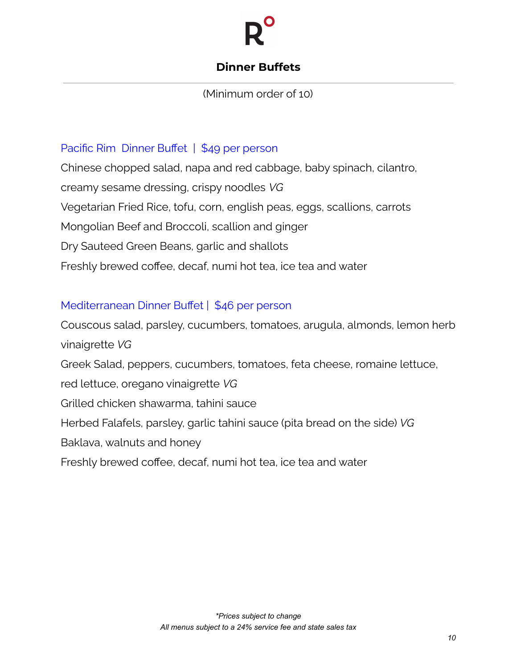

## **Dinner Buffets**

#### (Minimum order of 10)

#### Pacific Rim Dinner Buffet | \$49 per person

Chinese chopped salad, napa and red cabbage, baby spinach, cilantro, creamy sesame dressing, crispy noodles *VG* Vegetarian Fried Rice, tofu, corn, english peas, eggs, scallions, carrots Mongolian Beef and Broccoli, scallion and ginger Dry Sauteed Green Beans, garlic and shallots Freshly brewed coffee, decaf, numi hot tea, ice tea and water

#### Mediterranean Dinner Buffet | \$46 per person

Couscous salad, parsley, cucumbers, tomatoes, arugula, almonds, lemon herb vinaigrette *VG* Greek Salad, peppers, cucumbers, tomatoes, feta cheese, romaine lettuce, red lettuce, oregano vinaigrette *VG* Grilled chicken shawarma, tahini sauce Herbed Falafels, parsley, garlic tahini sauce (pita bread on the side) *VG* Baklava, walnuts and honey Freshly brewed coffee, decaf, numi hot tea, ice tea and water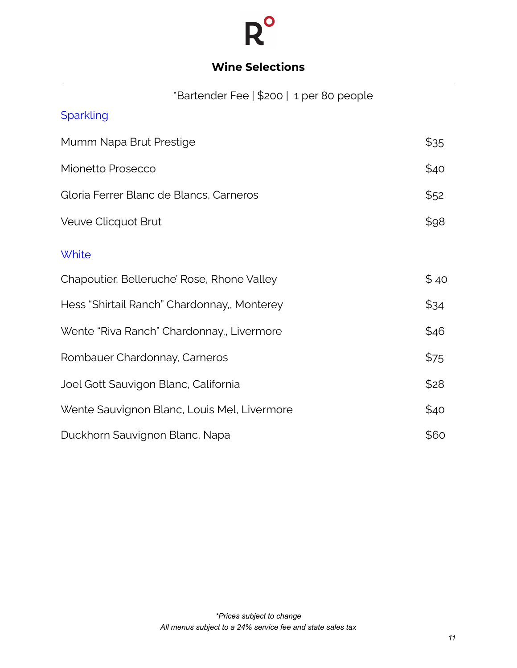

# **Wine Selections**

| *Bartender Fee   \$200   1 per 80 people    |      |
|---------------------------------------------|------|
| Sparkling                                   |      |
| Mumm Napa Brut Prestige                     | \$35 |
| Mionetto Prosecco                           | \$40 |
| Gloria Ferrer Blanc de Blancs, Carneros     | \$52 |
| Veuve Clicquot Brut                         | \$98 |
| <b>White</b>                                |      |
| Chapoutier, Belleruche' Rose, Rhone Valley  | \$40 |
| Hess "Shirtail Ranch" Chardonnay,, Monterey | \$34 |
| Wente "Riva Ranch" Chardonnay,, Livermore   | \$46 |
| Rombauer Chardonnay, Carneros               | \$75 |
| Joel Gott Sauvigon Blanc, California        | \$28 |
| Wente Sauvignon Blanc, Louis Mel, Livermore | \$40 |
| Duckhorn Sauvignon Blanc, Napa              | \$60 |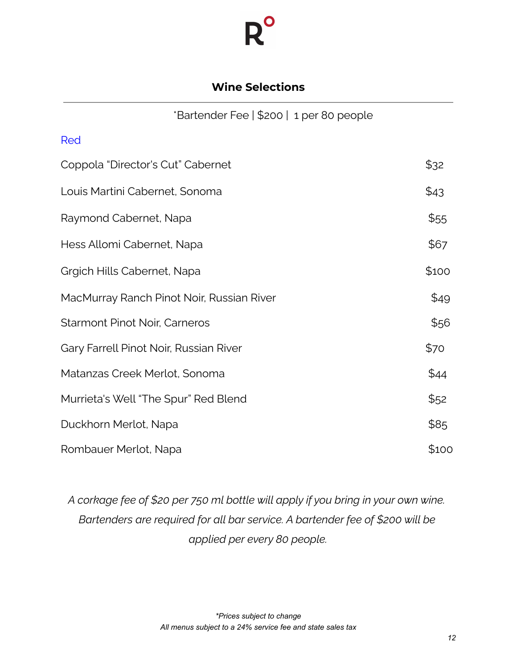# **Wine Selections**

| *Bartender Fee   \$200   1 per 80 people |  |
|------------------------------------------|--|
|------------------------------------------|--|

| Red                                       |       |
|-------------------------------------------|-------|
| Coppola "Director's Cut" Cabernet         | \$32  |
| Louis Martini Cabernet, Sonoma            | \$43  |
| Raymond Cabernet, Napa                    | \$55  |
| Hess Allomi Cabernet, Napa                | \$67  |
| Grgich Hills Cabernet, Napa               | \$100 |
| MacMurray Ranch Pinot Noir, Russian River | \$49  |
| <b>Starmont Pinot Noir, Carneros</b>      | \$56  |
| Gary Farrell Pinot Noir, Russian River    | \$70  |
| Matanzas Creek Merlot, Sonoma             | \$44  |
| Murrieta's Well "The Spur" Red Blend      | \$52  |
| Duckhorn Merlot, Napa                     | \$85  |
| Rombauer Merlot, Napa                     | \$100 |

*A corkage fee of \$20 per 750 ml bottle will apply if you bring in your own wine. Bartenders are required for all bar service. A bartender fee of \$200 will be applied per every 80 people.*